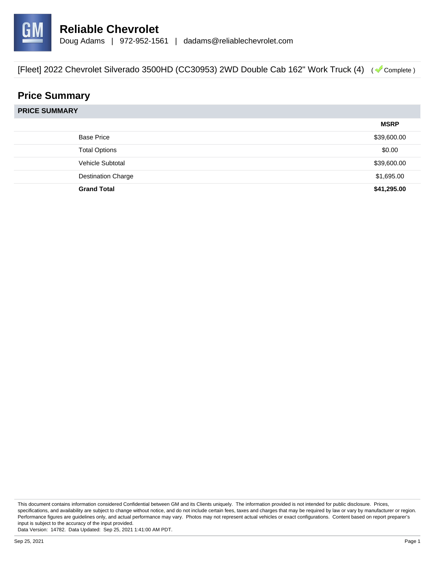

# **Price Summary**

**PRICE SUMMARY**

|                           | <b>MSRP</b> |
|---------------------------|-------------|
| <b>Base Price</b>         | \$39,600.00 |
| <b>Total Options</b>      | \$0.00      |
| Vehicle Subtotal          | \$39,600.00 |
| <b>Destination Charge</b> | \$1,695.00  |
| <b>Grand Total</b>        | \$41,295.00 |

This document contains information considered Confidential between GM and its Clients uniquely. The information provided is not intended for public disclosure. Prices, specifications, and availability are subject to change without notice, and do not include certain fees, taxes and charges that may be required by law or vary by manufacturer or region. Performance figures are guidelines only, and actual performance may vary. Photos may not represent actual vehicles or exact configurations. Content based on report preparer's input is subject to the accuracy of the input provided.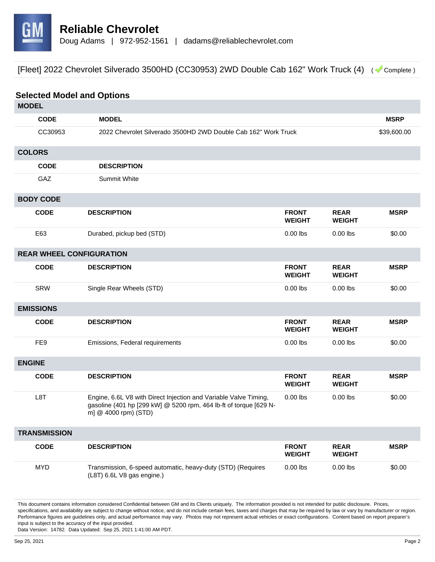

| <b>Selected Model and Options</b> |                                                                                                                                                               |                               |                              |             |
|-----------------------------------|---------------------------------------------------------------------------------------------------------------------------------------------------------------|-------------------------------|------------------------------|-------------|
| <b>MODEL</b>                      |                                                                                                                                                               |                               |                              |             |
| <b>CODE</b>                       | <b>MODEL</b>                                                                                                                                                  |                               |                              | <b>MSRP</b> |
| CC30953                           | 2022 Chevrolet Silverado 3500HD 2WD Double Cab 162" Work Truck                                                                                                |                               |                              | \$39,600.00 |
| <b>COLORS</b>                     |                                                                                                                                                               |                               |                              |             |
| <b>CODE</b>                       | <b>DESCRIPTION</b>                                                                                                                                            |                               |                              |             |
| GAZ                               | <b>Summit White</b>                                                                                                                                           |                               |                              |             |
| <b>BODY CODE</b>                  |                                                                                                                                                               |                               |                              |             |
| <b>CODE</b>                       | <b>DESCRIPTION</b>                                                                                                                                            | <b>FRONT</b><br><b>WEIGHT</b> | <b>REAR</b><br><b>WEIGHT</b> | <b>MSRP</b> |
| E63                               | Durabed, pickup bed (STD)                                                                                                                                     | $0.00$ lbs                    | $0.00$ lbs                   | \$0.00      |
| <b>REAR WHEEL CONFIGURATION</b>   |                                                                                                                                                               |                               |                              |             |
| <b>CODE</b>                       | <b>DESCRIPTION</b>                                                                                                                                            | <b>FRONT</b><br><b>WEIGHT</b> | <b>REAR</b><br><b>WEIGHT</b> | <b>MSRP</b> |
| SRW                               | Single Rear Wheels (STD)                                                                                                                                      | $0.00$ lbs                    | $0.00$ lbs                   | \$0.00      |
| <b>EMISSIONS</b>                  |                                                                                                                                                               |                               |                              |             |
| <b>CODE</b>                       | <b>DESCRIPTION</b>                                                                                                                                            | <b>FRONT</b><br><b>WEIGHT</b> | <b>REAR</b><br><b>WEIGHT</b> | <b>MSRP</b> |
| FE <sub>9</sub>                   | Emissions, Federal requirements                                                                                                                               | $0.00$ lbs                    | $0.00$ lbs                   | \$0.00      |
| <b>ENGINE</b>                     |                                                                                                                                                               |                               |                              |             |
| <b>CODE</b>                       | <b>DESCRIPTION</b>                                                                                                                                            | <b>FRONT</b><br><b>WEIGHT</b> | <b>REAR</b><br><b>WEIGHT</b> | <b>MSRP</b> |
| L8T                               | Engine, 6.6L V8 with Direct Injection and Variable Valve Timing,<br>gasoline (401 hp [299 kW] @ 5200 rpm, 464 lb-ft of torque [629 N-<br>m] @ 4000 rpm) (STD) | $0.00$ lbs                    | $0.00$ lbs                   | \$0.00      |
| <b>TRANSMISSION</b>               |                                                                                                                                                               |                               |                              |             |
| <b>CODE</b>                       | <b>DESCRIPTION</b>                                                                                                                                            | <b>FRONT</b><br><b>WEIGHT</b> | <b>REAR</b><br><b>WEIGHT</b> | <b>MSRP</b> |
| <b>MYD</b>                        | Transmission, 6-speed automatic, heavy-duty (STD) (Requires<br>(L8T) 6.6L V8 gas engine.)                                                                     | $0.00$ lbs                    | $0.00$ lbs                   | \$0.00      |

This document contains information considered Confidential between GM and its Clients uniquely. The information provided is not intended for public disclosure. Prices, specifications, and availability are subject to change without notice, and do not include certain fees, taxes and charges that may be required by law or vary by manufacturer or region. Performance figures are guidelines only, and actual performance may vary. Photos may not represent actual vehicles or exact configurations. Content based on report preparer's input is subject to the accuracy of the input provided.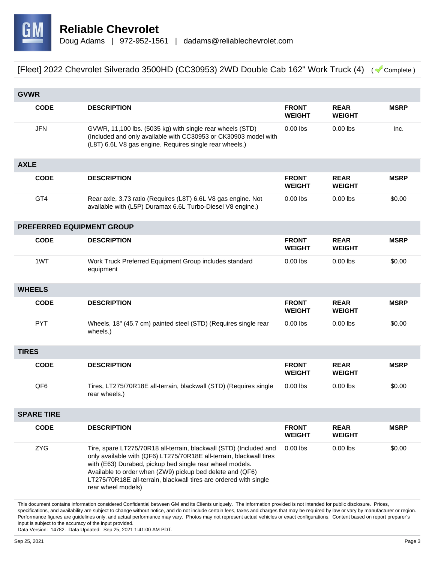

|                   | <b>GVWR</b>               |                                                                                                                                                                                                                                                                                                                                                               |                               |                              |             |
|-------------------|---------------------------|---------------------------------------------------------------------------------------------------------------------------------------------------------------------------------------------------------------------------------------------------------------------------------------------------------------------------------------------------------------|-------------------------------|------------------------------|-------------|
|                   | <b>CODE</b>               | <b>DESCRIPTION</b>                                                                                                                                                                                                                                                                                                                                            | <b>FRONT</b><br><b>WEIGHT</b> | <b>REAR</b><br><b>WEIGHT</b> | <b>MSRP</b> |
|                   | <b>JFN</b>                | GVWR, 11,100 lbs. (5035 kg) with single rear wheels (STD)<br>(Included and only available with CC30953 or CK30903 model with<br>(L8T) 6.6L V8 gas engine. Requires single rear wheels.)                                                                                                                                                                       | $0.00$ lbs                    | $0.00$ lbs                   | Inc.        |
| <b>AXLE</b>       |                           |                                                                                                                                                                                                                                                                                                                                                               |                               |                              |             |
|                   | <b>CODE</b>               | <b>DESCRIPTION</b>                                                                                                                                                                                                                                                                                                                                            | <b>FRONT</b><br><b>WEIGHT</b> | <b>REAR</b><br><b>WEIGHT</b> | <b>MSRP</b> |
|                   | GT4                       | Rear axle, 3.73 ratio (Requires (L8T) 6.6L V8 gas engine. Not<br>available with (L5P) Duramax 6.6L Turbo-Diesel V8 engine.)                                                                                                                                                                                                                                   | $0.00$ lbs                    | $0.00$ lbs                   | \$0.00      |
|                   | PREFERRED EQUIPMENT GROUP |                                                                                                                                                                                                                                                                                                                                                               |                               |                              |             |
|                   | <b>CODE</b>               | <b>DESCRIPTION</b>                                                                                                                                                                                                                                                                                                                                            | <b>FRONT</b><br><b>WEIGHT</b> | <b>REAR</b><br><b>WEIGHT</b> | <b>MSRP</b> |
|                   | 1WT                       | Work Truck Preferred Equipment Group includes standard<br>equipment                                                                                                                                                                                                                                                                                           | $0.00$ lbs                    | $0.00$ lbs                   | \$0.00      |
|                   | <b>WHEELS</b>             |                                                                                                                                                                                                                                                                                                                                                               |                               |                              |             |
|                   | <b>CODE</b>               | <b>DESCRIPTION</b>                                                                                                                                                                                                                                                                                                                                            | <b>FRONT</b><br><b>WEIGHT</b> | <b>REAR</b><br><b>WEIGHT</b> | <b>MSRP</b> |
|                   | <b>PYT</b>                | Wheels, 18" (45.7 cm) painted steel (STD) (Requires single rear<br>wheels.)                                                                                                                                                                                                                                                                                   | $0.00$ lbs                    | $0.00$ lbs                   | \$0.00      |
| <b>TIRES</b>      |                           |                                                                                                                                                                                                                                                                                                                                                               |                               |                              |             |
|                   | <b>CODE</b>               | <b>DESCRIPTION</b>                                                                                                                                                                                                                                                                                                                                            | <b>FRONT</b><br><b>WEIGHT</b> | <b>REAR</b><br><b>WEIGHT</b> | <b>MSRP</b> |
|                   | QF <sub>6</sub>           | Tires, LT275/70R18E all-terrain, blackwall (STD) (Requires single<br>rear wheels.)                                                                                                                                                                                                                                                                            | $0.00$ lbs                    | $0.00$ lbs                   | \$0.00      |
| <b>SPARE TIRE</b> |                           |                                                                                                                                                                                                                                                                                                                                                               |                               |                              |             |
|                   | <b>CODE</b>               | <b>DESCRIPTION</b>                                                                                                                                                                                                                                                                                                                                            | <b>FRONT</b><br><b>WEIGHT</b> | <b>REAR</b><br><b>WEIGHT</b> | <b>MSRP</b> |
|                   | <b>ZYG</b>                | Tire, spare LT275/70R18 all-terrain, blackwall (STD) (Included and<br>only available with (QF6) LT275/70R18E all-terrain, blackwall tires<br>with (E63) Durabed, pickup bed single rear wheel models.<br>Available to order when (ZW9) pickup bed delete and (QF6)<br>LT275/70R18E all-terrain, blackwall tires are ordered with single<br>rear wheel models) | $0.00$ lbs                    | $0.00$ lbs                   | \$0.00      |

This document contains information considered Confidential between GM and its Clients uniquely. The information provided is not intended for public disclosure. Prices, specifications, and availability are subject to change without notice, and do not include certain fees, taxes and charges that may be required by law or vary by manufacturer or region. Performance figures are guidelines only, and actual performance may vary. Photos may not represent actual vehicles or exact configurations. Content based on report preparer's input is subject to the accuracy of the input provided.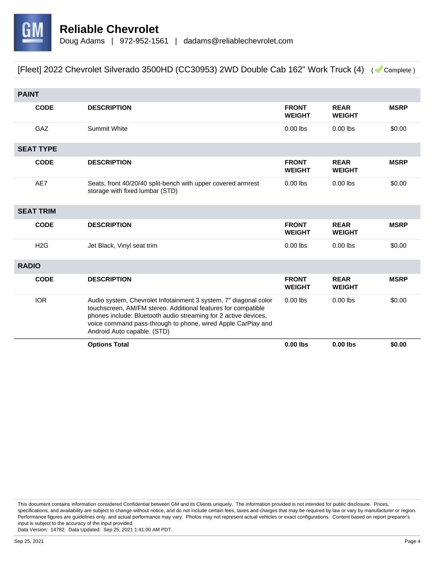

| <b>PAINT</b> |                  |                                                                                                                                                                                                                                                                                                     |                               |                              |             |
|--------------|------------------|-----------------------------------------------------------------------------------------------------------------------------------------------------------------------------------------------------------------------------------------------------------------------------------------------------|-------------------------------|------------------------------|-------------|
|              | <b>CODE</b>      | <b>DESCRIPTION</b>                                                                                                                                                                                                                                                                                  | <b>FRONT</b><br><b>WEIGHT</b> | <b>REAR</b><br><b>WEIGHT</b> | <b>MSRP</b> |
|              | GAZ              | <b>Summit White</b>                                                                                                                                                                                                                                                                                 | $0.00$ lbs                    | $0.00$ lbs                   | \$0.00      |
|              | <b>SEAT TYPE</b> |                                                                                                                                                                                                                                                                                                     |                               |                              |             |
|              | <b>CODE</b>      | <b>DESCRIPTION</b>                                                                                                                                                                                                                                                                                  | <b>FRONT</b><br><b>WEIGHT</b> | <b>REAR</b><br><b>WEIGHT</b> | <b>MSRP</b> |
|              | AE7              | Seats, front 40/20/40 split-bench with upper covered armrest<br>storage with fixed lumbar (STD)                                                                                                                                                                                                     | $0.00$ lbs                    | $0.00$ lbs                   | \$0.00      |
|              | <b>SEAT TRIM</b> |                                                                                                                                                                                                                                                                                                     |                               |                              |             |
|              | <b>CODE</b>      | <b>DESCRIPTION</b>                                                                                                                                                                                                                                                                                  | <b>FRONT</b><br><b>WEIGHT</b> | <b>REAR</b><br><b>WEIGHT</b> | <b>MSRP</b> |
|              | H2G              | Jet Black, Vinyl seat trim                                                                                                                                                                                                                                                                          | $0.00$ lbs                    | $0.00$ lbs                   | \$0.00      |
| <b>RADIO</b> |                  |                                                                                                                                                                                                                                                                                                     |                               |                              |             |
|              | <b>CODE</b>      | <b>DESCRIPTION</b>                                                                                                                                                                                                                                                                                  | <b>FRONT</b>                  | <b>REAR</b>                  | <b>MSRP</b> |
|              |                  |                                                                                                                                                                                                                                                                                                     | <b>WEIGHT</b>                 | <b>WEIGHT</b>                |             |
|              | <b>IOR</b>       | Audio system, Chevrolet Infotainment 3 system, 7" diagonal color<br>touchscreen, AM/FM stereo. Additional features for compatible<br>phones include: Bluetooth audio streaming for 2 active devices,<br>voice command pass-through to phone, wired Apple CarPlay and<br>Android Auto capable. (STD) | $0.00$ lbs                    | $0.00$ lbs                   | \$0.00      |

This document contains information considered Confidential between GM and its Clients uniquely. The information provided is not intended for public disclosure. Prices, specifications, and availability are subject to change without notice, and do not include certain fees, taxes and charges that may be required by law or vary by manufacturer or region. Performance figures are guidelines only, and actual performance may vary. Photos may not represent actual vehicles or exact configurations. Content based on report preparer's input is subject to the accuracy of the input provided.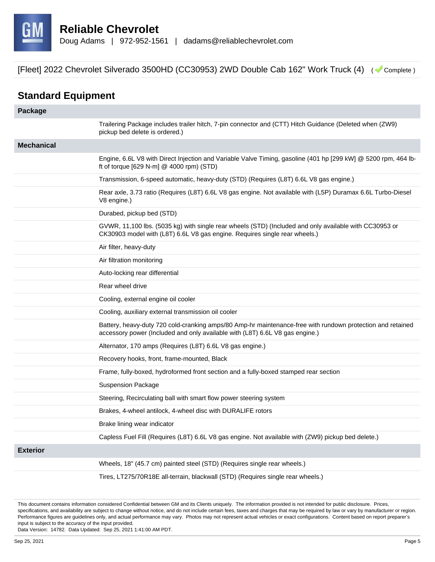

## **Standard Equipment**

| Package           |                                                                                                                                                                                            |
|-------------------|--------------------------------------------------------------------------------------------------------------------------------------------------------------------------------------------|
|                   | Trailering Package includes trailer hitch, 7-pin connector and (CTT) Hitch Guidance (Deleted when (ZW9)<br>pickup bed delete is ordered.)                                                  |
| <b>Mechanical</b> |                                                                                                                                                                                            |
|                   | Engine, 6.6L V8 with Direct Injection and Variable Valve Timing, gasoline (401 hp [299 kW] @ 5200 rpm, 464 lb-<br>ft of torque [629 N-m] @ 4000 rpm) (STD)                                 |
|                   | Transmission, 6-speed automatic, heavy-duty (STD) (Requires (L8T) 6.6L V8 gas engine.)                                                                                                     |
|                   | Rear axle, 3.73 ratio (Requires (L8T) 6.6L V8 gas engine. Not available with (L5P) Duramax 6.6L Turbo-Diesel<br>V8 engine.)                                                                |
|                   | Durabed, pickup bed (STD)                                                                                                                                                                  |
|                   | GVWR, 11,100 lbs. (5035 kg) with single rear wheels (STD) (Included and only available with CC30953 or<br>CK30903 model with (L8T) 6.6L V8 gas engine. Requires single rear wheels.)       |
|                   | Air filter, heavy-duty                                                                                                                                                                     |
|                   | Air filtration monitoring                                                                                                                                                                  |
|                   | Auto-locking rear differential                                                                                                                                                             |
|                   | Rear wheel drive                                                                                                                                                                           |
|                   | Cooling, external engine oil cooler                                                                                                                                                        |
|                   | Cooling, auxiliary external transmission oil cooler                                                                                                                                        |
|                   | Battery, heavy-duty 720 cold-cranking amps/80 Amp-hr maintenance-free with rundown protection and retained<br>accessory power (Included and only available with (L8T) 6.6L V8 gas engine.) |
|                   | Alternator, 170 amps (Requires (L8T) 6.6L V8 gas engine.)                                                                                                                                  |
|                   | Recovery hooks, front, frame-mounted, Black                                                                                                                                                |
|                   | Frame, fully-boxed, hydroformed front section and a fully-boxed stamped rear section                                                                                                       |
|                   | <b>Suspension Package</b>                                                                                                                                                                  |
|                   | Steering, Recirculating ball with smart flow power steering system                                                                                                                         |
|                   | Brakes, 4-wheel antilock, 4-wheel disc with DURALIFE rotors                                                                                                                                |
|                   | Brake lining wear indicator                                                                                                                                                                |
|                   | Capless Fuel Fill (Requires (L8T) 6.6L V8 gas engine. Not available with (ZW9) pickup bed delete.)                                                                                         |
| <b>Exterior</b>   |                                                                                                                                                                                            |
|                   | Wheels, 18" (45.7 cm) painted steel (STD) (Requires single rear wheels.)                                                                                                                   |
|                   | Tires, LT275/70R18E all-terrain, blackwall (STD) (Requires single rear wheels.)                                                                                                            |

This document contains information considered Confidential between GM and its Clients uniquely. The information provided is not intended for public disclosure. Prices, specifications, and availability are subject to change without notice, and do not include certain fees, taxes and charges that may be required by law or vary by manufacturer or region. Performance figures are guidelines only, and actual performance may vary. Photos may not represent actual vehicles or exact configurations. Content based on report preparer's input is subject to the accuracy of the input provided.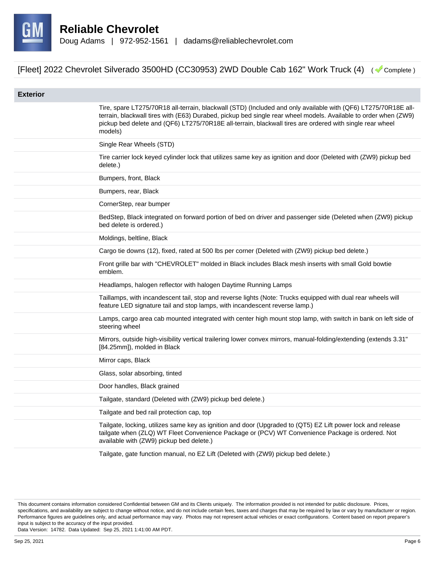

| <b>Exterior</b> |                                                                                                                                                                                                                                                                                                                                                          |
|-----------------|----------------------------------------------------------------------------------------------------------------------------------------------------------------------------------------------------------------------------------------------------------------------------------------------------------------------------------------------------------|
|                 | Tire, spare LT275/70R18 all-terrain, blackwall (STD) (Included and only available with (QF6) LT275/70R18E all-<br>terrain, blackwall tires with (E63) Durabed, pickup bed single rear wheel models. Available to order when (ZW9)<br>pickup bed delete and (QF6) LT275/70R18E all-terrain, blackwall tires are ordered with single rear wheel<br>models) |
|                 | Single Rear Wheels (STD)                                                                                                                                                                                                                                                                                                                                 |
|                 | Tire carrier lock keyed cylinder lock that utilizes same key as ignition and door (Deleted with (ZW9) pickup bed<br>delete.)                                                                                                                                                                                                                             |
|                 | Bumpers, front, Black                                                                                                                                                                                                                                                                                                                                    |
|                 | Bumpers, rear, Black                                                                                                                                                                                                                                                                                                                                     |
|                 | CornerStep, rear bumper                                                                                                                                                                                                                                                                                                                                  |
|                 | BedStep, Black integrated on forward portion of bed on driver and passenger side (Deleted when (ZW9) pickup<br>bed delete is ordered.)                                                                                                                                                                                                                   |
|                 | Moldings, beltline, Black                                                                                                                                                                                                                                                                                                                                |
|                 | Cargo tie downs (12), fixed, rated at 500 lbs per corner (Deleted with (ZW9) pickup bed delete.)                                                                                                                                                                                                                                                         |
|                 | Front grille bar with "CHEVROLET" molded in Black includes Black mesh inserts with small Gold bowtie<br>emblem.                                                                                                                                                                                                                                          |
|                 | Headlamps, halogen reflector with halogen Daytime Running Lamps                                                                                                                                                                                                                                                                                          |
|                 | Taillamps, with incandescent tail, stop and reverse lights (Note: Trucks equipped with dual rear wheels will<br>feature LED signature tail and stop lamps, with incandescent reverse lamp.)                                                                                                                                                              |
|                 | Lamps, cargo area cab mounted integrated with center high mount stop lamp, with switch in bank on left side of<br>steering wheel                                                                                                                                                                                                                         |
|                 | Mirrors, outside high-visibility vertical trailering lower convex mirrors, manual-folding/extending (extends 3.31"<br>[84.25mm]), molded in Black                                                                                                                                                                                                        |
|                 | Mirror caps, Black                                                                                                                                                                                                                                                                                                                                       |
|                 | Glass, solar absorbing, tinted                                                                                                                                                                                                                                                                                                                           |
|                 | Door handles, Black grained                                                                                                                                                                                                                                                                                                                              |
|                 | Tailgate, standard (Deleted with (ZW9) pickup bed delete.)                                                                                                                                                                                                                                                                                               |
|                 | Tailgate and bed rail protection cap, top                                                                                                                                                                                                                                                                                                                |
|                 | Tailgate, locking, utilizes same key as ignition and door (Upgraded to (QT5) EZ Lift power lock and release<br>tailgate when (ZLQ) WT Fleet Convenience Package or (PCV) WT Convenience Package is ordered. Not<br>available with (ZW9) pickup bed delete.)                                                                                              |
|                 | Tailgate, gate function manual, no EZ Lift (Deleted with (ZW9) pickup bed delete.)                                                                                                                                                                                                                                                                       |

This document contains information considered Confidential between GM and its Clients uniquely. The information provided is not intended for public disclosure. Prices, specifications, and availability are subject to change without notice, and do not include certain fees, taxes and charges that may be required by law or vary by manufacturer or region. Performance figures are guidelines only, and actual performance may vary. Photos may not represent actual vehicles or exact configurations. Content based on report preparer's input is subject to the accuracy of the input provided.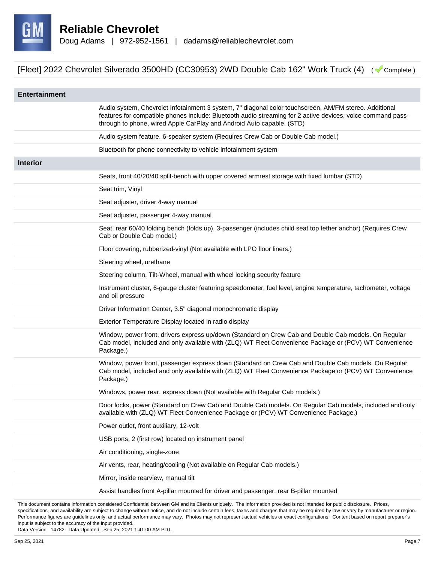

| <b>Entertainment</b> |                                                                                                                                                                                                                                                                                                |
|----------------------|------------------------------------------------------------------------------------------------------------------------------------------------------------------------------------------------------------------------------------------------------------------------------------------------|
|                      | Audio system, Chevrolet Infotainment 3 system, 7" diagonal color touchscreen, AM/FM stereo. Additional<br>features for compatible phones include: Bluetooth audio streaming for 2 active devices, voice command pass-<br>through to phone, wired Apple CarPlay and Android Auto capable. (STD) |
|                      | Audio system feature, 6-speaker system (Requires Crew Cab or Double Cab model.)                                                                                                                                                                                                                |
|                      | Bluetooth for phone connectivity to vehicle infotainment system                                                                                                                                                                                                                                |
| <b>Interior</b>      |                                                                                                                                                                                                                                                                                                |
|                      | Seats, front 40/20/40 split-bench with upper covered armrest storage with fixed lumbar (STD)                                                                                                                                                                                                   |
|                      | Seat trim, Vinyl                                                                                                                                                                                                                                                                               |
|                      | Seat adjuster, driver 4-way manual                                                                                                                                                                                                                                                             |
|                      | Seat adjuster, passenger 4-way manual                                                                                                                                                                                                                                                          |
|                      | Seat, rear 60/40 folding bench (folds up), 3-passenger (includes child seat top tether anchor) (Requires Crew<br>Cab or Double Cab model.)                                                                                                                                                     |
|                      | Floor covering, rubberized-vinyl (Not available with LPO floor liners.)                                                                                                                                                                                                                        |
|                      | Steering wheel, urethane                                                                                                                                                                                                                                                                       |
|                      | Steering column, Tilt-Wheel, manual with wheel locking security feature                                                                                                                                                                                                                        |
|                      | Instrument cluster, 6-gauge cluster featuring speedometer, fuel level, engine temperature, tachometer, voltage<br>and oil pressure                                                                                                                                                             |
|                      | Driver Information Center, 3.5" diagonal monochromatic display                                                                                                                                                                                                                                 |
|                      | Exterior Temperature Display located in radio display                                                                                                                                                                                                                                          |
|                      | Window, power front, drivers express up/down (Standard on Crew Cab and Double Cab models. On Regular<br>Cab model, included and only available with (ZLQ) WT Fleet Convenience Package or (PCV) WT Convenience<br>Package.)                                                                    |
|                      | Window, power front, passenger express down (Standard on Crew Cab and Double Cab models. On Regular<br>Cab model, included and only available with (ZLQ) WT Fleet Convenience Package or (PCV) WT Convenience<br>Package.)                                                                     |
|                      | Windows, power rear, express down (Not available with Regular Cab models.)                                                                                                                                                                                                                     |
|                      | Door locks, power (Standard on Crew Cab and Double Cab models. On Regular Cab models, included and only<br>available with (ZLQ) WT Fleet Convenience Package or (PCV) WT Convenience Package.)                                                                                                 |
|                      | Power outlet, front auxiliary, 12-volt                                                                                                                                                                                                                                                         |
|                      | USB ports, 2 (first row) located on instrument panel                                                                                                                                                                                                                                           |
|                      | Air conditioning, single-zone                                                                                                                                                                                                                                                                  |
|                      | Air vents, rear, heating/cooling (Not available on Regular Cab models.)                                                                                                                                                                                                                        |
|                      | Mirror, inside rearview, manual tilt                                                                                                                                                                                                                                                           |
|                      | Assist handles front A-pillar mounted for driver and passenger, rear B-pillar mounted                                                                                                                                                                                                          |
|                      | considered Confidential between CM and its Cliente uniqualy. The information provided is not intended for public displacure. Drigo                                                                                                                                                             |

ential between GM and its Clients uniquely. The information provi specifications, and availability are subject to change without notice, and do not include certain fees, taxes and charges that may be required by law or vary by manufacturer or region. Performance figures are guidelines only, and actual performance may vary. Photos may not represent actual vehicles or exact configurations. Content based on report preparer's input is subject to the accuracy of the input provided.